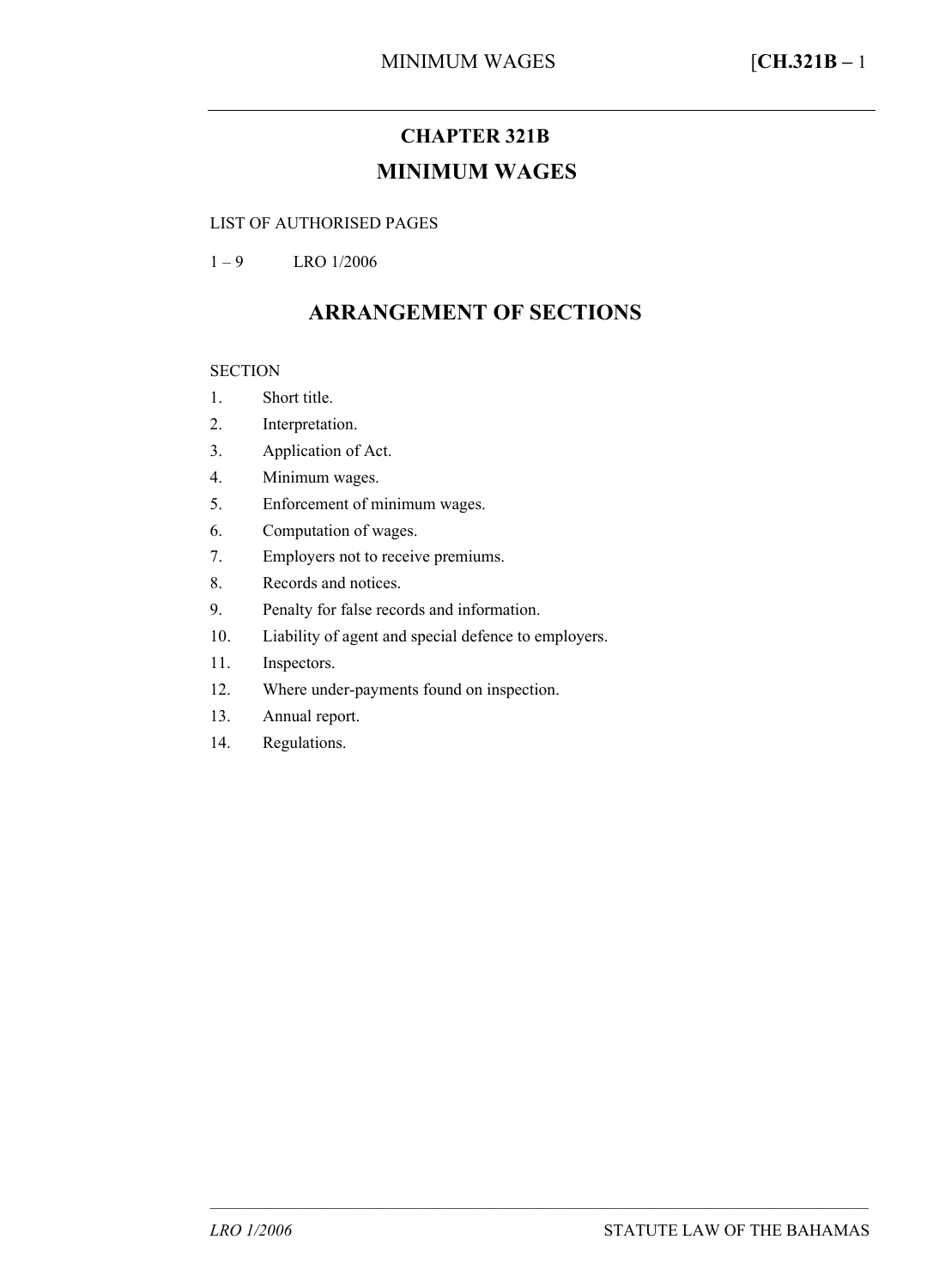# **CHAPTER 321B MINIMUM WAGES**

#### LIST OF AUTHORISED PAGES

 $1 - 9$  LRO 1/2006

## **ARRANGEMENT OF SECTIONS**

#### **SECTION**

- 1. Short title.
- 2. Interpretation.
- 3. Application of Act.
- 4. Minimum wages.
- 5. Enforcement of minimum wages.
- 6. Computation of wages.
- 7. Employers not to receive premiums.
- 8. Records and notices.
- 9. Penalty for false records and information.
- 10. Liability of agent and special defence to employers.
- 11. Inspectors.
- 12. Where under-payments found on inspection.
- 13. Annual report.
- 14. Regulations.

–––––––––––––––––––––––––––––––––––––––––––––––––––––––––––––––––––––––––––––––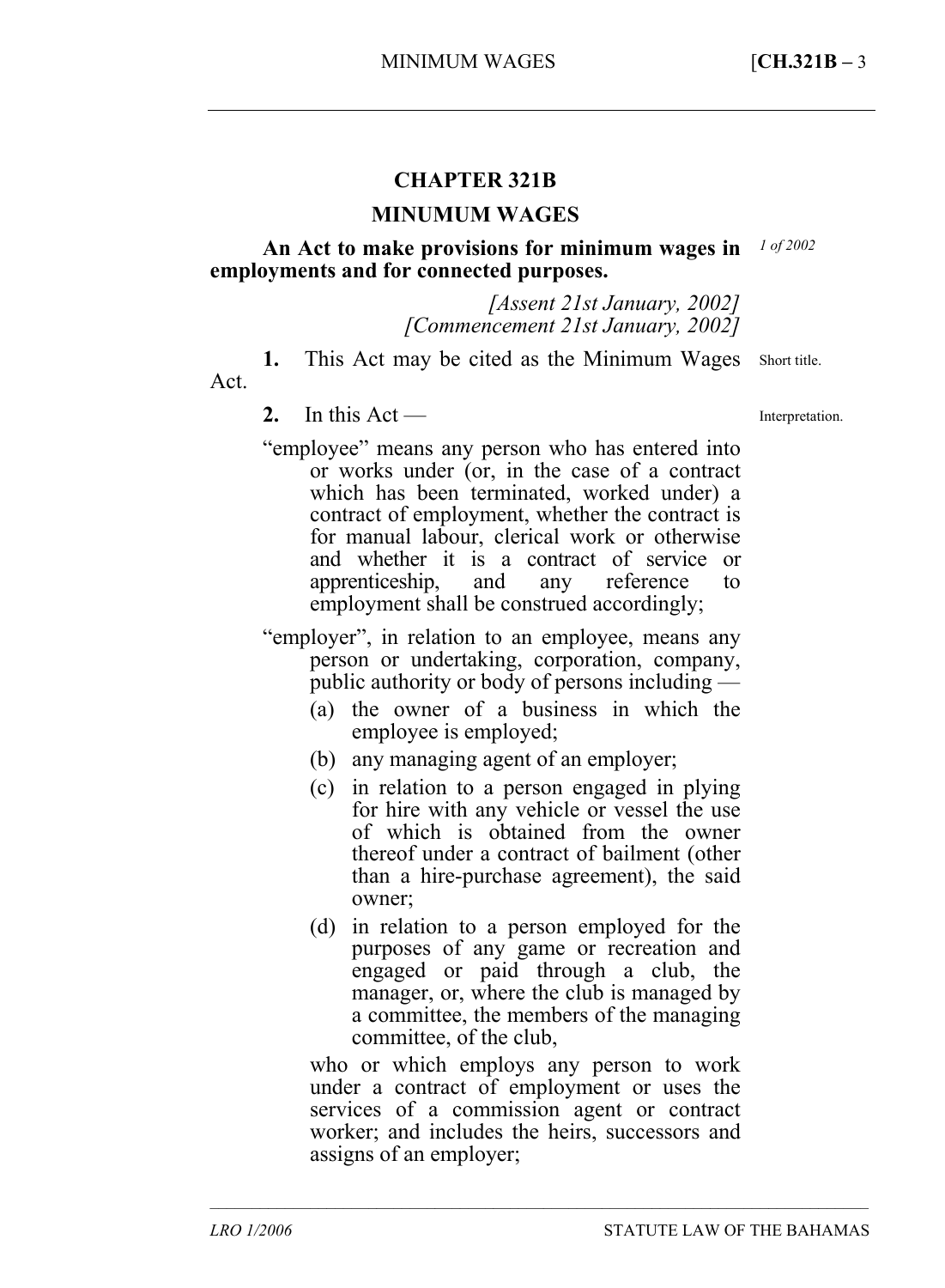## **CHAPTER 321B**

### **MINUMUM WAGES**

**An Act to make provisions for minimum wages in employments and for connected purposes.**  *1 of 2002* 

> *[Assent 21st January, 2002] [Commencement 21st January, 2002]*

**1.** This Act may be cited as the Minimum Wages Act. Short title.

2. In this  $Act$  —

Interpretation.

"employee" means any person who has entered into or works under (or, in the case of a contract which has been terminated, worked under) a contract of employment, whether the contract is for manual labour, clerical work or otherwise and whether it is a contract of service or apprenticeship, and any reference to employment shall be construed accordingly;

"employer", in relation to an employee, means any person or undertaking, corporation, company, public authority or body of persons including —

- (a) the owner of a business in which the employee is employed;
- (b) any managing agent of an employer;
- (c) in relation to a person engaged in plying for hire with any vehicle or vessel the use of which is obtained from the owner thereof under a contract of bailment (other than a hire-purchase agreement), the said owner;
- (d) in relation to a person employed for the purposes of any game or recreation and engaged or paid through a club, the manager, or, where the club is managed by a committee, the members of the managing committee, of the club,

who or which employs any person to work under a contract of employment or uses the services of a commission agent or contract worker; and includes the heirs, successors and assigns of an employer;

–––––––––––––––––––––––––––––––––––––––––––––––––––––––––––––––––––––––––––––––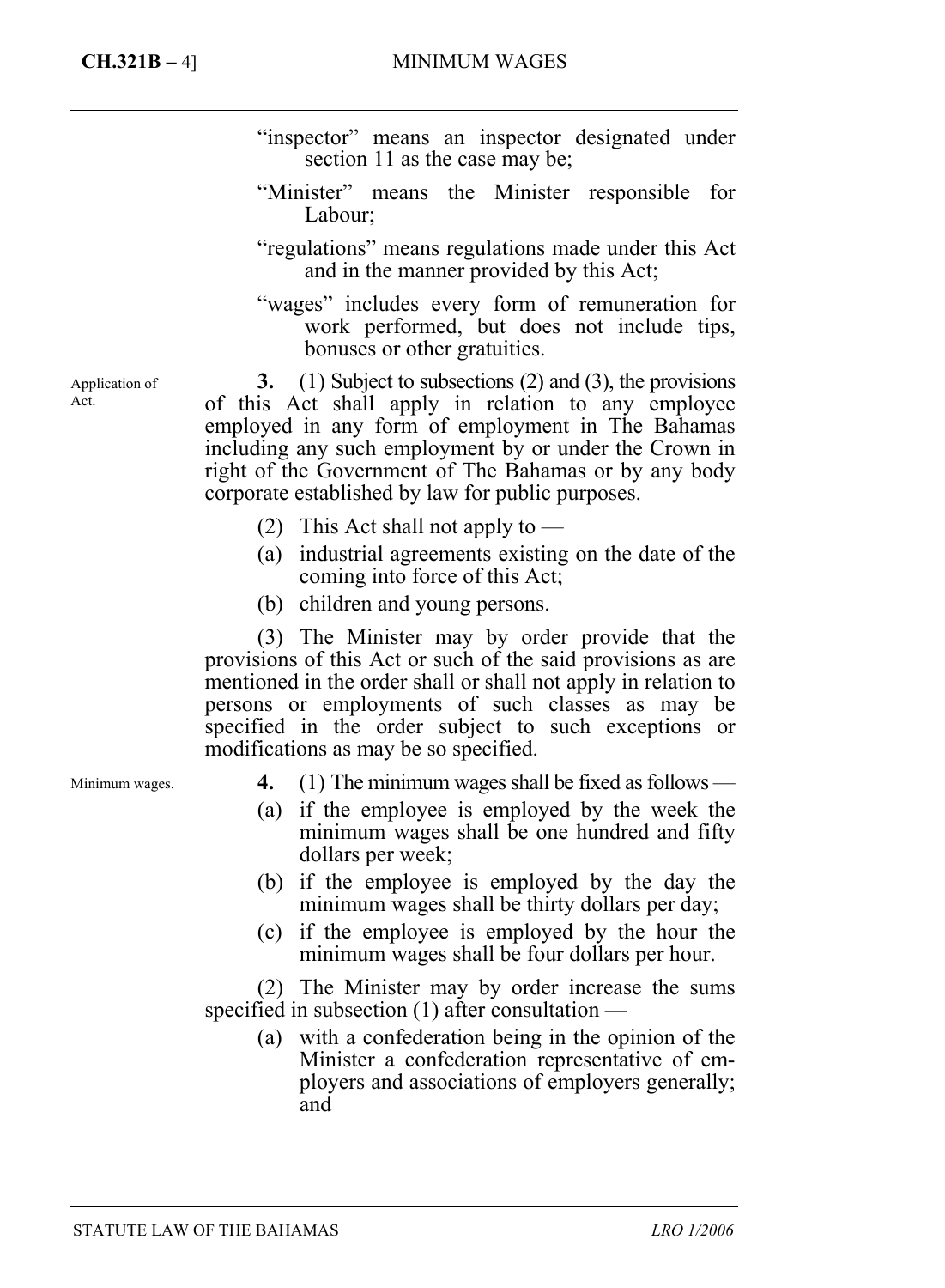- "inspector" means an inspector designated under section 11 as the case may be;
- "Minister" means the Minister responsible for Labour;
- "regulations" means regulations made under this Act and in the manner provided by this Act;
- "wages" includes every form of remuneration for work performed, but does not include tips, bonuses or other gratuities.

**3.** (1) Subject to subsections (2) and (3), the provisions of this Act shall apply in relation to any employee employed in any form of employment in The Bahamas including any such employment by or under the Crown in right of the Government of The Bahamas or by any body corporate established by law for public purposes.

- (2) This Act shall not apply to  $-$
- (a) industrial agreements existing on the date of the coming into force of this Act;
- (b) children and young persons.

(3) The Minister may by order provide that the provisions of this Act or such of the said provisions as are mentioned in the order shall or shall not apply in relation to persons or employments of such classes as may be specified in the order subject to such exceptions or modifications as may be so specified.

Minimum wages.

Application of Act.

- **4.** (1) The minimum wages shall be fixed as follows —
- (a) if the employee is employed by the week the minimum wages shall be one hundred and fifty dollars per week;
- (b) if the employee is employed by the day the minimum wages shall be thirty dollars per day;
- (c) if the employee is employed by the hour the minimum wages shall be four dollars per hour.

(2) The Minister may by order increase the sums specified in subsection (1) after consultation —

(a) with a confederation being in the opinion of the Minister a confederation representative of employers and associations of employers generally; and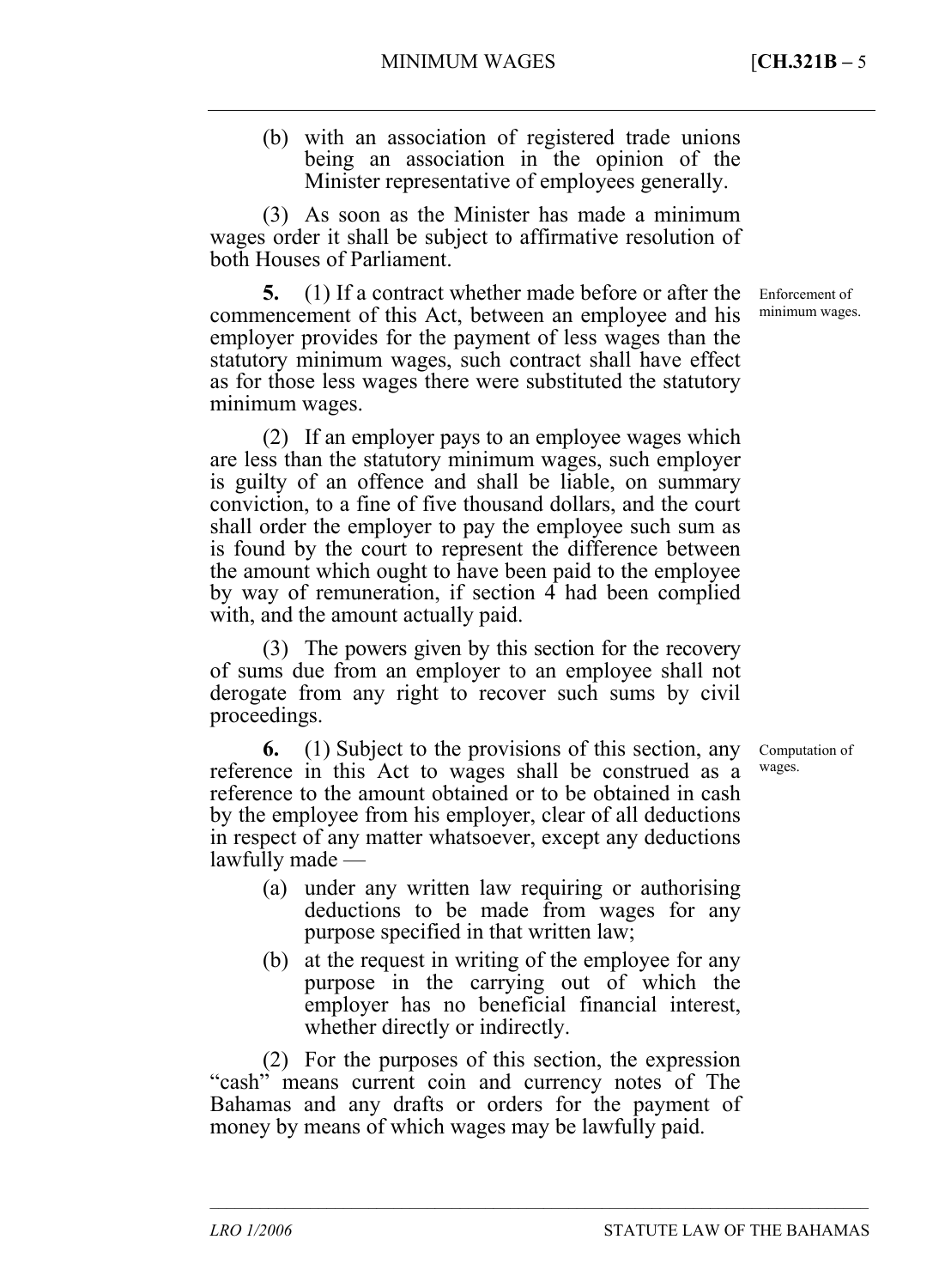(b) with an association of registered trade unions being an association in the opinion of the Minister representative of employees generally.

(3) As soon as the Minister has made a minimum wages order it shall be subject to affirmative resolution of both Houses of Parliament.

**5.** (1) If a contract whether made before or after the commencement of this Act, between an employee and his employer provides for the payment of less wages than the statutory minimum wages, such contract shall have effect as for those less wages there were substituted the statutory minimum wages.

(2) If an employer pays to an employee wages which are less than the statutory minimum wages, such employer is guilty of an offence and shall be liable, on summary conviction, to a fine of five thousand dollars, and the court shall order the employer to pay the employee such sum as is found by the court to represent the difference between the amount which ought to have been paid to the employee by way of remuneration, if section 4 had been complied with, and the amount actually paid.

(3) The powers given by this section for the recovery of sums due from an employer to an employee shall not derogate from any right to recover such sums by civil proceedings.

**6.** (1) Subject to the provisions of this section, any reference in this Act to wages shall be construed as a reference to the amount obtained or to be obtained in cash by the employee from his employer, clear of all deductions in respect of any matter whatsoever, except any deductions lawfully made —

- (a) under any written law requiring or authorising deductions to be made from wages for any purpose specified in that written law;
- (b) at the request in writing of the employee for any purpose in the carrying out of which the employer has no beneficial financial interest, whether directly or indirectly.

–––––––––––––––––––––––––––––––––––––––––––––––––––––––––––––––––––––––––––––––

(2) For the purposes of this section, the expression "cash" means current coin and currency notes of The Bahamas and any drafts or orders for the payment of money by means of which wages may be lawfully paid.

Enforcement of minimum wages.

Computation of wages.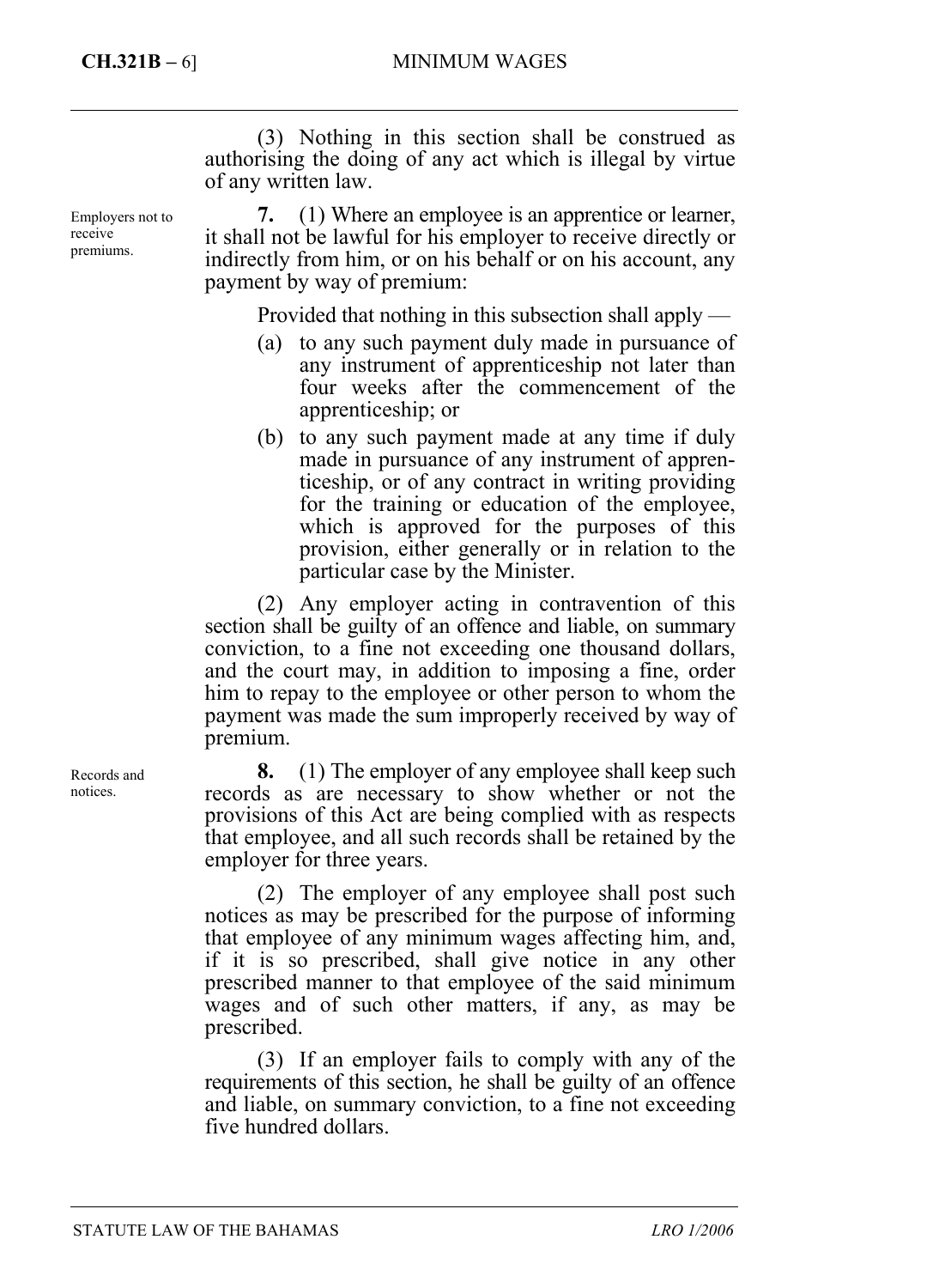Employers not to receive premiums.

(3) Nothing in this section shall be construed as authorising the doing of any act which is illegal by virtue of any written law.

**7.** (1) Where an employee is an apprentice or learner, it shall not be lawful for his employer to receive directly or indirectly from him, or on his behalf or on his account, any payment by way of premium:

Provided that nothing in this subsection shall apply —

- (a) to any such payment duly made in pursuance of any instrument of apprenticeship not later than four weeks after the commencement of the apprenticeship; or
- (b) to any such payment made at any time if duly made in pursuance of any instrument of apprenticeship, or of any contract in writing providing for the training or education of the employee, which is approved for the purposes of this provision, either generally or in relation to the particular case by the Minister.

(2) Any employer acting in contravention of this section shall be guilty of an offence and liable, on summary conviction, to a fine not exceeding one thousand dollars, and the court may, in addition to imposing a fine, order him to repay to the employee or other person to whom the payment was made the sum improperly received by way of premium.

**8.** (1) The employer of any employee shall keep such records as are necessary to show whether or not the provisions of this Act are being complied with as respects that employee, and all such records shall be retained by the employer for three years.

(2) The employer of any employee shall post such notices as may be prescribed for the purpose of informing that employee of any minimum wages affecting him, and, if it is so prescribed, shall give notice in any other prescribed manner to that employee of the said minimum wages and of such other matters, if any, as may be prescribed.

(3) If an employer fails to comply with any of the requirements of this section, he shall be guilty of an offence and liable, on summary conviction, to a fine not exceeding five hundred dollars.

Records and notices.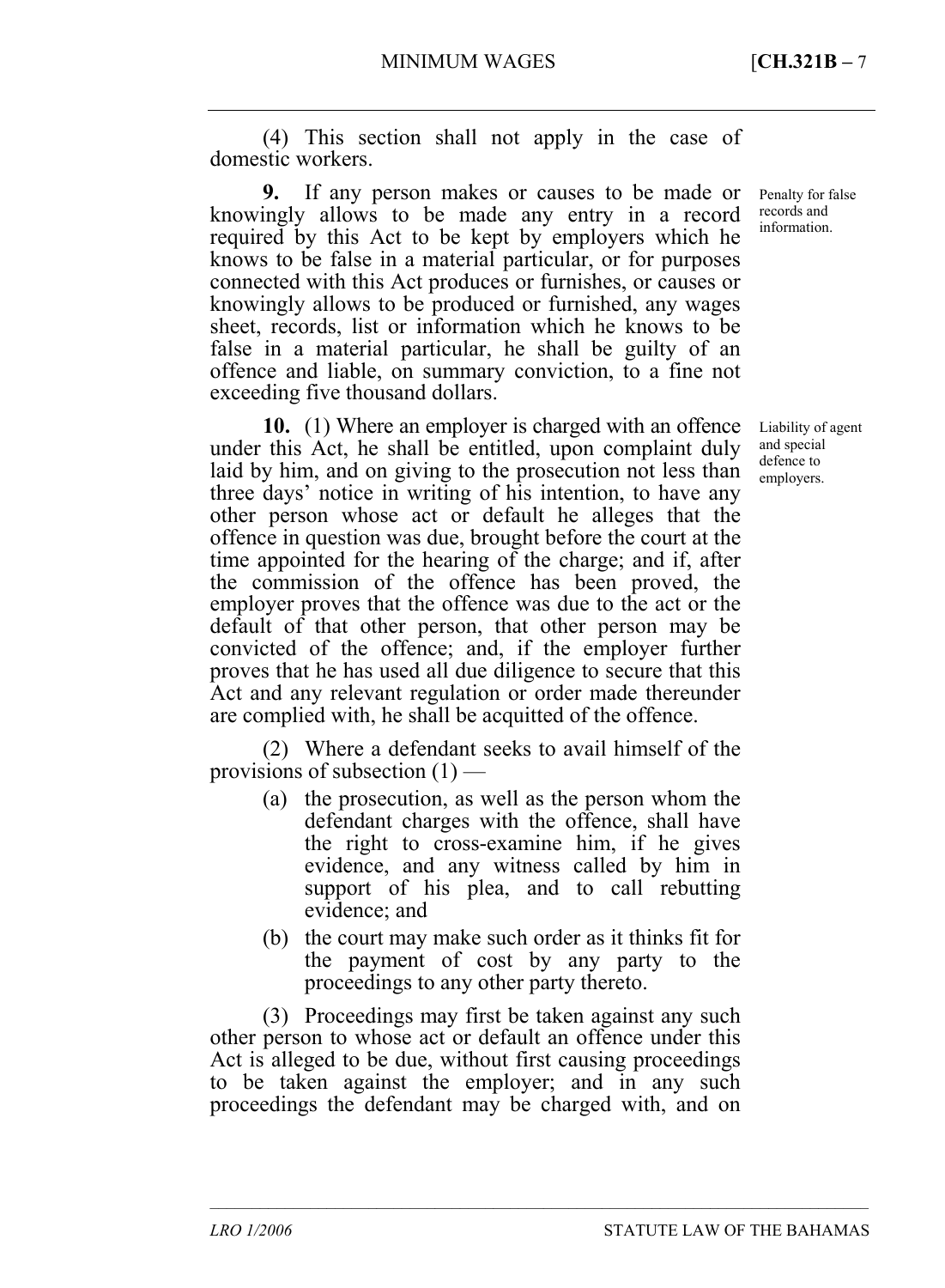(4) This section shall not apply in the case of domestic workers.

**9.** If any person makes or causes to be made or knowingly allows to be made any entry in a record required by this Act to be kept by employers which he knows to be false in a material particular, or for purposes connected with this Act produces or furnishes, or causes or knowingly allows to be produced or furnished, any wages sheet, records, list or information which he knows to be false in a material particular, he shall be guilty of an offence and liable, on summary conviction, to a fine not exceeding five thousand dollars.

**10.** (1) Where an employer is charged with an offence under this Act, he shall be entitled, upon complaint duly laid by him, and on giving to the prosecution not less than three days' notice in writing of his intention, to have any other person whose act or default he alleges that the offence in question was due, brought before the court at the time appointed for the hearing of the charge; and if, after the commission of the offence has been proved, the employer proves that the offence was due to the act or the default of that other person, that other person may be convicted of the offence; and, if the employer further proves that he has used all due diligence to secure that this Act and any relevant regulation or order made thereunder are complied with, he shall be acquitted of the offence.

(2) Where a defendant seeks to avail himself of the provisions of subsection  $(1)$  —

- (a) the prosecution, as well as the person whom the defendant charges with the offence, shall have the right to cross-examine him, if he gives evidence, and any witness called by him in support of his plea, and to call rebutting evidence; and
- (b) the court may make such order as it thinks fit for the payment of cost by any party to the proceedings to any other party thereto.

–––––––––––––––––––––––––––––––––––––––––––––––––––––––––––––––––––––––––––––––

(3) Proceedings may first be taken against any such other person to whose act or default an offence under this Act is alleged to be due, without first causing proceedings to be taken against the employer; and in any such proceedings the defendant may be charged with, and on

Penalty for false records and information.

Liability of agent and special defence to employers.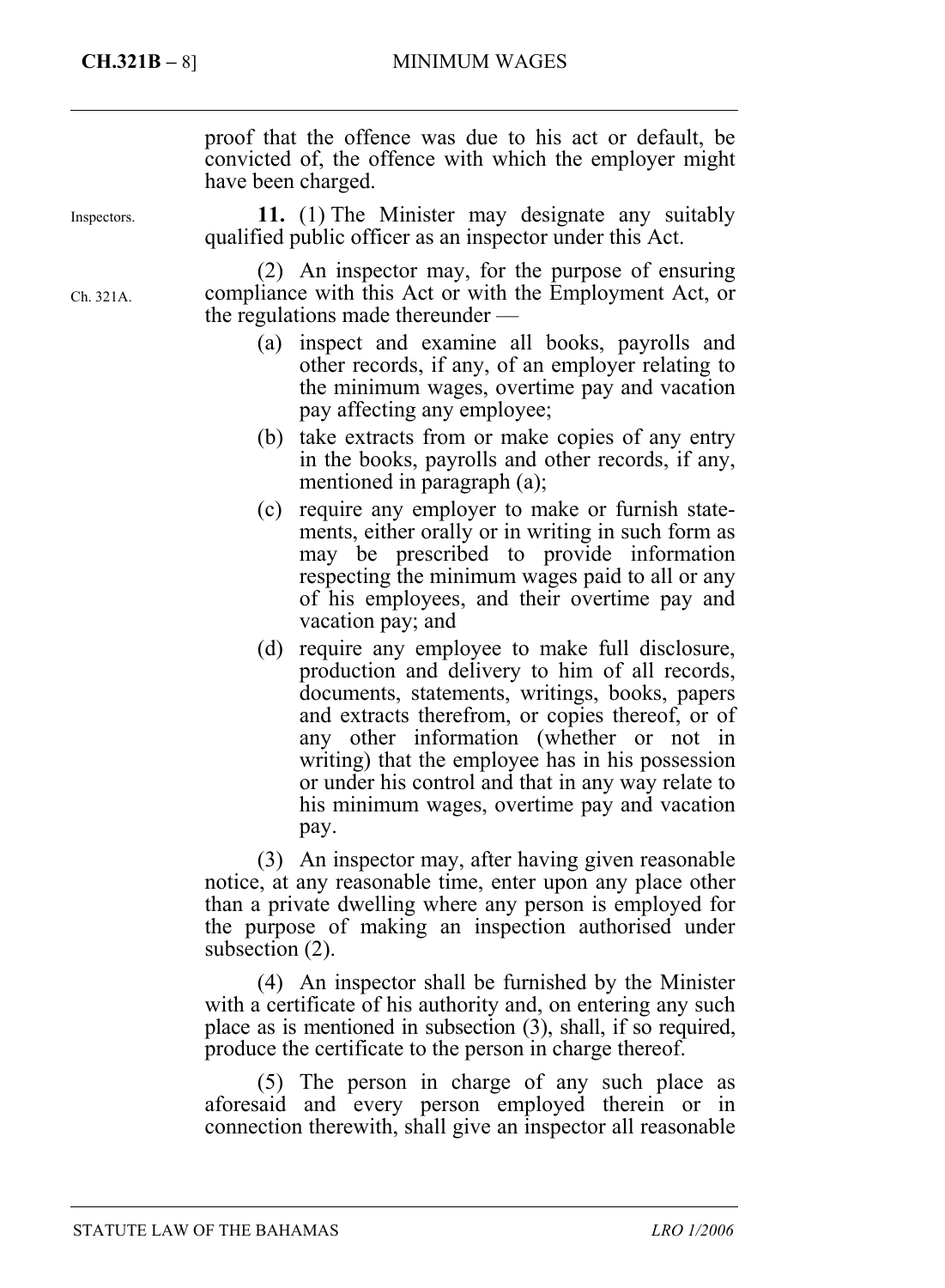|             | proof that the offence was due to his act or default, be<br>convicted of, the offence with which the employer might<br>have been charged.                                                                                                                                                                                                                                                                                  |
|-------------|----------------------------------------------------------------------------------------------------------------------------------------------------------------------------------------------------------------------------------------------------------------------------------------------------------------------------------------------------------------------------------------------------------------------------|
| Inspectors. | 11. (1) The Minister may designate any suitably<br>qualified public officer as an inspector under this Act.                                                                                                                                                                                                                                                                                                                |
| Ch. 321A.   | (2) An inspector may, for the purpose of ensuring<br>compliance with this Act or with the Employment Act, or<br>the regulations made thereunder —                                                                                                                                                                                                                                                                          |
|             | (a) inspect and examine all books, payrolls and<br>other records, if any, of an employer relating to<br>the minimum wages, overtime pay and vacation<br>pay affecting any employee;                                                                                                                                                                                                                                        |
|             | take extracts from or make copies of any entry<br>(b)<br>in the books, payrolls and other records, if any,<br>mentioned in paragraph (a);                                                                                                                                                                                                                                                                                  |
|             | require any employer to make or furnish state-<br>(c)<br>ments, either orally or in writing in such form as<br>may be prescribed to provide information<br>respecting the minimum wages paid to all or any<br>of his employees, and their overtime pay and<br>vacation pay; and                                                                                                                                            |
|             | (d)<br>require any employee to make full disclosure,<br>production and delivery to him of all records,<br>documents, statements, writings, books, papers<br>and extracts therefrom, or copies thereof, or of<br>any other information (whether or not in<br>writing) that the employee has in his possession<br>or under his control and that in any way relate to<br>his minimum wages, overtime pay and vacation<br>pay. |
|             | An inspector may after having given reasonable<br>(3)                                                                                                                                                                                                                                                                                                                                                                      |

(3) An inspector may, after having given reasonable notice, at any reasonable time, enter upon any place other than a private dwelling where any person is employed for the purpose of making an inspection authorised under subsection (2).

(4) An inspector shall be furnished by the Minister with a certificate of his authority and, on entering any such place as is mentioned in subsection (3), shall, if so required, produce the certificate to the person in charge thereof.

(5) The person in charge of any such place as aforesaid and every person employed therein or in connection therewith, shall give an inspector all reasonable